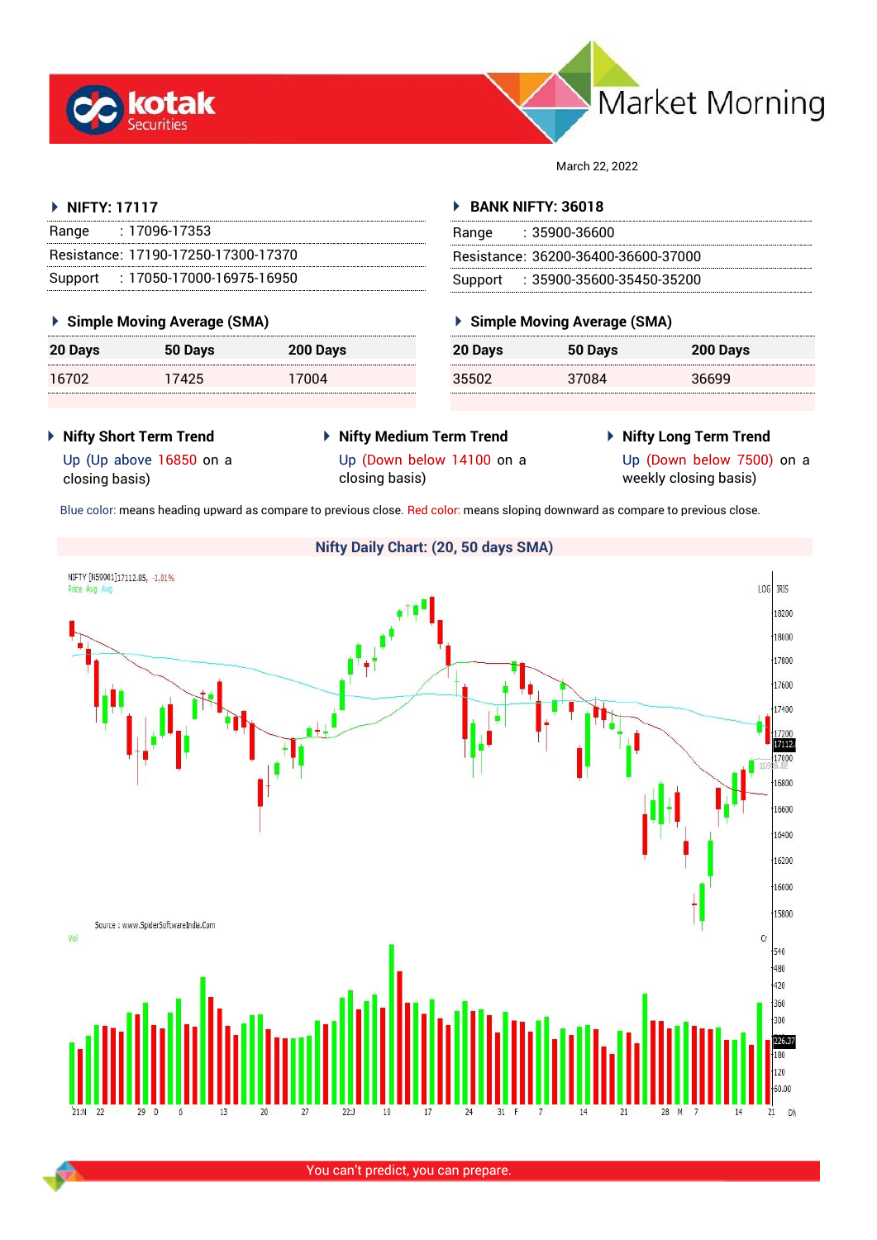



March 22, 2022

#### **NIFTY: 17117**

| Range | : 17096-17353                       |
|-------|-------------------------------------|
|       | Resistance: 17190-17250-17300-17370 |
|       | Support: 17050-17000-16975-16950    |

### **Simple Moving Average (SMA)**

| 20 Days | 50 Days | 200 Days |
|---------|---------|----------|
| 16702   | 17425   | 17004    |

### **BANK NIFTY: 36018**

| Range | : 35900-36600                       |
|-------|-------------------------------------|
|       | Resistance: 36200-36400-36600-37000 |
|       | Support : 35900-35600-35450-35200   |

## **Simple Moving Average (SMA)**

| 20 Days | 50 Days | 200 Days |
|---------|---------|----------|
| 35502   | 37084   | 36699    |

- **Nifty Short Term Trend**
- **Nifty Medium Term Trend**
- **Nifty Long Term Trend**

Up (Up above 16850 on a closing basis)

Up (Down below 14100 on a closing basis)

Up (Down below 7500) on a weekly closing basis)

Blue color: means heading upward as compare to previous close. Red color: means sloping downward as compare to previous close.

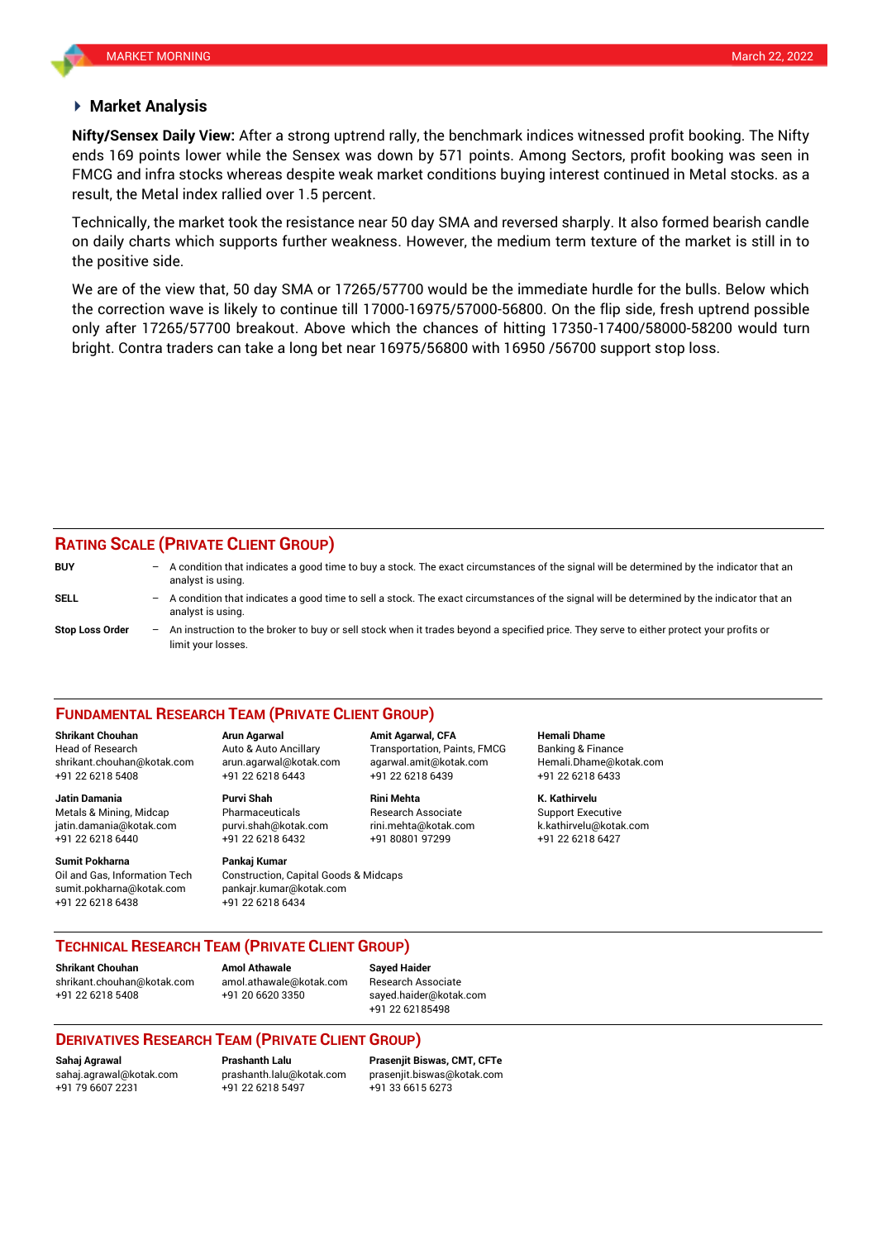#### **Market Analysis**

ends 169 points lower while the Sensex was down by 571 points. Among Sectors, profit booking was seen in **Nifty/Sensex Daily View:** After a strong uptrend rally, the benchmark indices witnessed profit booking. The Nifty FMCG and infra stocks whereas despite weak market conditions buying interest continued in Metal stocks. as a result, the Metal index rallied over 1.5 percent.

Technically, the market took the resistance near 50 day SMA and reversed sharply. It also formed bearish candle on daily charts which supports further weakness. However, the medium term texture of the market is still in to the positive side.

We are of the view that, 50 day SMA or 17265/57700 would be the immediate hurdle for the bulls. Below which the correction wave is likely to continue till 17000-16975/57000-56800. On the flip side, fresh uptrend possible only after 17265/57700 breakout. Above which the chances of hitting 17350-17400/58000-58200 would turn bright. Contra traders can take a long bet near 16975/56800 with 16950 /56700 support stop loss.

#### **RATING SCALE (PRIVATE CLIENT GROUP)**

| <b>BUY</b>             | $\overline{\phantom{0}}$ | A condition that indicates a good time to buy a stock. The exact circumstances of the signal will be determined by the indicator that an<br>analyst is using.    |
|------------------------|--------------------------|------------------------------------------------------------------------------------------------------------------------------------------------------------------|
| <b>SELL</b>            |                          | - A condition that indicates a good time to sell a stock. The exact circumstances of the signal will be determined by the indicator that an<br>analyst is using. |
| <b>Stop Loss Order</b> | $-$                      | An instruction to the broker to buy or sell stock when it trades beyond a specified price. They serve to either protect your profits or<br>limit your losses.    |

#### **FUNDAMENTAL RESEARCH TEAM (PRIVATE CLIENT GROUP)**

+91 22 6218 5408 +91 22 6218 6443 +91 22 6218 6439 +91 22 6218 6433 **Jatin Damania Purvi Shah Rini Mehta K. Kathirvelu**

Metals & Mining, Midcap Pharmaceuticals Research Associate Support Executive jatin.damania@kotak.com [purvi.shah@kotak.com](mailto:purvi.shah@kotak.com) rini.mehta@kotak.com [k.kathirvelu@kotak.com](mailto:k.kathirvelu@kotak.com) +91 22 6218 6440 +91 22 6218 6432 +91 80801 97299 +91 22 6218 6427

Oil and Gas, Information Tech Construction, Capital Goods & Midcaps sumit.pokharna@kotak.com pankajr.kumar@kotak.com +91 22 6218 6438 +91 22 6218 6434

# **Sumit Pokharna** Pankaj Kumar

**Shrikant Chouhan Arun Agarwal Amit Agarwal, CFA Hemali Dhame** Head of Research Auto & Auto Ancillary Transportation, Paints, FMCG Banking & Finance [shrikant.chouhan@kotak.com](mailto:shrikant.chouhan@kotak.com) arun.agarwal@kotak.com agarwal.amit@kotak.com Hemali.Dhame@kotak.com

#### **TECHNICAL RESEARCH TEAM (PRIVATE CLIENT GROUP)**

**Shrikant Chouhan**<br>**Amol Athawale Athawale Chomes and athawale @kotak com Besearch Ass** [shrikant.chouhan@kotak.com](mailto:shrikant.chouhan@kotak.com) [amol.athawale@kotak.com](mailto:amol.athawale@kotak.com) Research Associate +91 22 6218 5408 +91 20 6620 3350 [sayed.haider@kotak.com](mailto:sayed.haider@kotak.com)

+91 22 62185498

### **DERIVATIVES RESEARCH TEAM (PRIVATE CLIENT GROUP)**

+91 22 6218 5497 +91 33 6615 6273

**Sahaj Agrawal Prashanth Lalu Prasenjit Biswas, CMT, CFTe** [sahaj.agrawal@kotak.com](mailto:sahaj.agrawal@kotak.com) [prashanth.lalu@kotak.com](mailto:prashanth.lalu@kotak.com) [prasenjit.biswas@kotak.com](mailto:prasenjit.biswas@kotak.com)